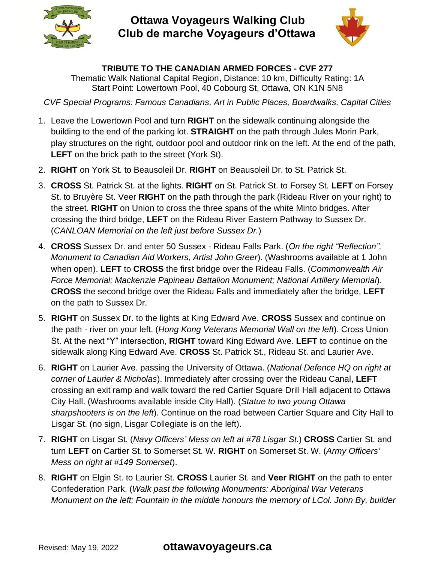

**Ottawa Voyageurs Walking Club Club de marche Voyageurs d'Ottawa**



#### **TRIBUTE TO THE CANADIAN ARMED FORCES - CVF 277**

Thematic Walk National Capital Region, Distance: 10 km, Difficulty Rating: 1A Start Point: Lowertown Pool, 40 Cobourg St, Ottawa, ON K1N 5N8

*CVF Special Programs: Famous Canadians, Art in Public Places, Boardwalks, Capital Cities*

- 1. Leave the Lowertown Pool and turn **RIGHT** on the sidewalk continuing alongside the building to the end of the parking lot. **STRAIGHT** on the path through Jules Morin Park, play structures on the right, outdoor pool and outdoor rink on the left. At the end of the path, **LEFT** on the brick path to the street (York St).
- 2. **RIGHT** on York St. to Beausoleil Dr. **RIGHT** on Beausoleil Dr. to St. Patrick St.
- 3. **CROSS** St. Patrick St. at the lights. **RIGHT** on St. Patrick St. to Forsey St. **LEFT** on Forsey St. to Bruyère St. Veer **RIGHT** on the path through the park (Rideau River on your right) to the street. **RIGHT** on Union to cross the three spans of the white Minto bridges. After crossing the third bridge, **LEFT** on the Rideau River Eastern Pathway to Sussex Dr. (*CANLOAN Memorial on the left just before Sussex Dr.*)
- 4. **CROSS** Sussex Dr. and enter 50 Sussex Rideau Falls Park. (*On the right "Reflection", Monument to Canadian Aid Workers, Artist John Greer*). (Washrooms available at 1 John when open). **LEFT** to **CROSS** the first bridge over the Rideau Falls. (*Commonwealth Air Force Memorial; Mackenzie Papineau Battalion Monument; National Artillery Memorial*). **CROSS** the second bridge over the Rideau Falls and immediately after the bridge, **LEFT** on the path to Sussex Dr.
- 5. **RIGHT** on Sussex Dr. to the lights at King Edward Ave. **CROSS** Sussex and continue on the path - river on your left. (*Hong Kong Veterans Memorial Wall on the left*). Cross Union St. At the next "Y" intersection, **RIGHT** toward King Edward Ave. **LEFT** to continue on the sidewalk along King Edward Ave. **CROSS** St. Patrick St., Rideau St. and Laurier Ave.
- 6. **RIGHT** on Laurier Ave. passing the University of Ottawa. (*National Defence HQ on right at corner of Laurier & Nicholas*). Immediately after crossing over the Rideau Canal, **LEFT** crossing an exit ramp and walk toward the red Cartier Square Drill Hall adjacent to Ottawa City Hall. (Washrooms available inside City Hall). (*Statue to two young Ottawa sharpshooters is on the left*). Continue on the road between Cartier Square and City Hall to Lisgar St. (no sign, Lisgar Collegiate is on the left).
- 7. **RIGHT** on Lisgar St. (*Navy Officers' Mess on left at #78 Lisgar St.*) **CROSS** Cartier St. and turn **LEFT** on Cartier St. to Somerset St. W. **RIGHT** on Somerset St. W. (*Army Officers' Mess on right at #149 Somerset*).
- 8. **RIGHT** on Elgin St. to Laurier St. **CROSS** Laurier St. and **Veer RIGHT** on the path to enter Confederation Park. (*Walk past the following Monuments: Aboriginal War Veterans Monument on the left; Fountain in the middle honours the memory of LCol. John By, builder*

## Revised: May 19, 2022 **ottawavoyageurs.ca**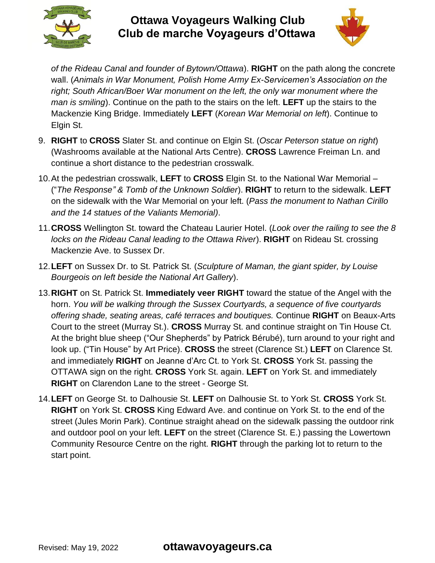

## **Ottawa Voyageurs Walking Club Club de marche Voyageurs d'Ottawa**



*of the Rideau Canal and founder of Bytown/Ottawa*). **RIGHT** on the path along the concrete wall. (*Animals in War Monument, Polish Home Army Ex-Servicemen's Association on the right; South African/Boer War monument on the left, the only war monument where the man is smiling*). Continue on the path to the stairs on the left. **LEFT** up the stairs to the Mackenzie King Bridge. Immediately **LEFT** (*Korean War Memorial on left*). Continue to Elgin St.

- 9. **RIGHT** to **CROSS** Slater St. and continue on Elgin St. (*Oscar Peterson statue on right*) (Washrooms available at the National Arts Centre). **CROSS** Lawrence Freiman Ln. and continue a short distance to the pedestrian crosswalk.
- 10.At the pedestrian crosswalk, **LEFT** to **CROSS** Elgin St. to the National War Memorial ("*The Response" & Tomb of the Unknown Soldier*). **RIGHT** to return to the sidewalk. **LEFT** on the sidewalk with the War Memorial on your left. (*Pass the monument to Nathan Cirillo and the 14 statues of the Valiants Memorial)*.
- 11.**CROSS** Wellington St. toward the Chateau Laurier Hotel. (*Look over the railing to see the 8 locks on the Rideau Canal leading to the Ottawa River*). **RIGHT** on Rideau St. crossing Mackenzie Ave. to Sussex Dr.
- 12.**LEFT** on Sussex Dr. to St. Patrick St. (*Sculpture of Maman, the giant spider, by Louise Bourgeois on left beside the National Art Gallery*).
- 13.**RIGHT** on St. Patrick St. **Immediately veer RIGHT** toward the statue of the Angel with the horn. *You will be walking through the Sussex Courtyards, a sequence of five courtyards offering shade, seating areas, café terraces and boutiques.* Continue **RIGHT** on Beaux-Arts Court to the street (Murray St.). **CROSS** Murray St. and continue straight on Tin House Ct. At the bright blue sheep ("Our Shepherds" by Patrick Bérubé), turn around to your right and look up. ("Tin House" by Art Price). **CROSS** the street (Clarence St.) **LEFT** on Clarence St. and immediately **RIGHT** on Jeanne d'Arc Ct. to York St. **CROSS** York St. passing the OTTAWA sign on the right. **CROSS** York St. again. **LEFT** on York St. and immediately **RIGHT** on Clarendon Lane to the street - George St.
- 14.**LEFT** on George St. to Dalhousie St. **LEFT** on Dalhousie St. to York St. **CROSS** York St. **RIGHT** on York St. **CROSS** King Edward Ave. and continue on York St. to the end of the street (Jules Morin Park). Continue straight ahead on the sidewalk passing the outdoor rink and outdoor pool on your left. **LEFT** on the street (Clarence St. E.) passing the Lowertown Community Resource Centre on the right. **RIGHT** through the parking lot to return to the start point.